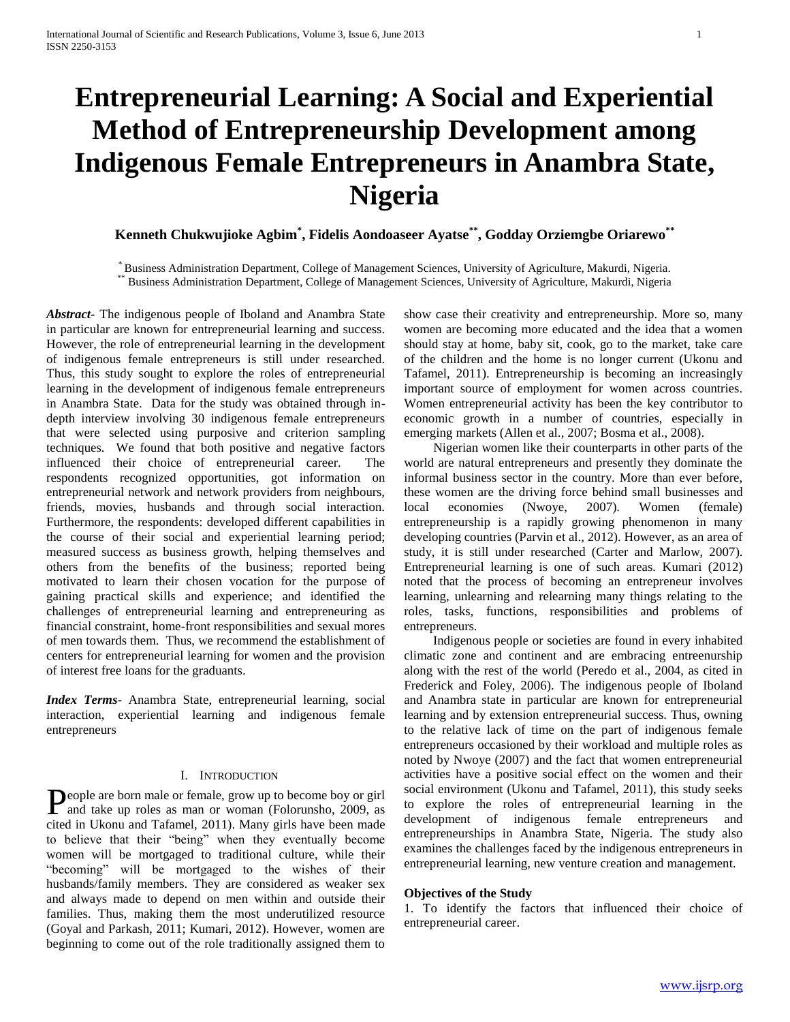# **Entrepreneurial Learning: A Social and Experiential Method of Entrepreneurship Development among Indigenous Female Entrepreneurs in Anambra State, Nigeria**

**Kenneth Chukwujioke Agbim\* , Fidelis Aondoaseer Ayatse\*\* , Godday Orziemgbe Oriarewo\*\***

\* Business Administration Department, College of Management Sciences, University of Agriculture, Makurdi, Nigeria. \*\* Business Administration Department, College of Management Sciences, University of Agriculture, Makurdi, Nigeria

*Abstract***-** The indigenous people of Iboland and Anambra State in particular are known for entrepreneurial learning and success. However, the role of entrepreneurial learning in the development of indigenous female entrepreneurs is still under researched. Thus, this study sought to explore the roles of entrepreneurial learning in the development of indigenous female entrepreneurs in Anambra State. Data for the study was obtained through indepth interview involving 30 indigenous female entrepreneurs that were selected using purposive and criterion sampling techniques. We found that both positive and negative factors influenced their choice of entrepreneurial career. The respondents recognized opportunities, got information on entrepreneurial network and network providers from neighbours, friends, movies, husbands and through social interaction. Furthermore, the respondents: developed different capabilities in the course of their social and experiential learning period; measured success as business growth, helping themselves and others from the benefits of the business; reported being motivated to learn their chosen vocation for the purpose of gaining practical skills and experience; and identified the challenges of entrepreneurial learning and entrepreneuring as financial constraint, home-front responsibilities and sexual mores of men towards them. Thus, we recommend the establishment of centers for entrepreneurial learning for women and the provision of interest free loans for the graduants.

*Index Terms*- Anambra State, entrepreneurial learning, social interaction, experiential learning and indigenous female entrepreneurs

## I. INTRODUCTION

eople are born male or female, grow up to become boy or girl People are born male or female, grow up to become boy or girl<br>and take up roles as man or woman (Folorunsho, 2009, as cited in Ukonu and Tafamel, 2011). Many girls have been made to believe that their "being" when they eventually become women will be mortgaged to traditional culture, while their "becoming" will be mortgaged to the wishes of their husbands/family members. They are considered as weaker sex and always made to depend on men within and outside their families. Thus, making them the most underutilized resource (Goyal and Parkash, 2011; Kumari, 2012). However, women are beginning to come out of the role traditionally assigned them to

show case their creativity and entrepreneurship. More so, many women are becoming more educated and the idea that a women should stay at home, baby sit, cook, go to the market, take care of the children and the home is no longer current (Ukonu and Tafamel, 2011). Entrepreneurship is becoming an increasingly important source of employment for women across countries. Women entrepreneurial activity has been the key contributor to economic growth in a number of countries, especially in emerging markets (Allen et al., 2007; Bosma et al., 2008).

 Nigerian women like their counterparts in other parts of the world are natural entrepreneurs and presently they dominate the informal business sector in the country. More than ever before, these women are the driving force behind small businesses and local economies (Nwoye, 2007). Women (female) entrepreneurship is a rapidly growing phenomenon in many developing countries (Parvin et al., 2012). However, as an area of study, it is still under researched (Carter and Marlow, 2007). Entrepreneurial learning is one of such areas. Kumari (2012) noted that the process of becoming an entrepreneur involves learning, unlearning and relearning many things relating to the roles, tasks, functions, responsibilities and problems of entrepreneurs.

 Indigenous people or societies are found in every inhabited climatic zone and continent and are embracing entreenurship along with the rest of the world (Peredo et al., 2004, as cited in Frederick and Foley, 2006). The indigenous people of Iboland and Anambra state in particular are known for entrepreneurial learning and by extension entrepreneurial success. Thus, owning to the relative lack of time on the part of indigenous female entrepreneurs occasioned by their workload and multiple roles as noted by Nwoye (2007) and the fact that women entrepreneurial activities have a positive social effect on the women and their social environment (Ukonu and Tafamel, 2011), this study seeks to explore the roles of entrepreneurial learning in the development of indigenous female entrepreneurs and entrepreneurships in Anambra State, Nigeria. The study also examines the challenges faced by the indigenous entrepreneurs in entrepreneurial learning, new venture creation and management.

## **Objectives of the Study**

1. To identify the factors that influenced their choice of entrepreneurial career.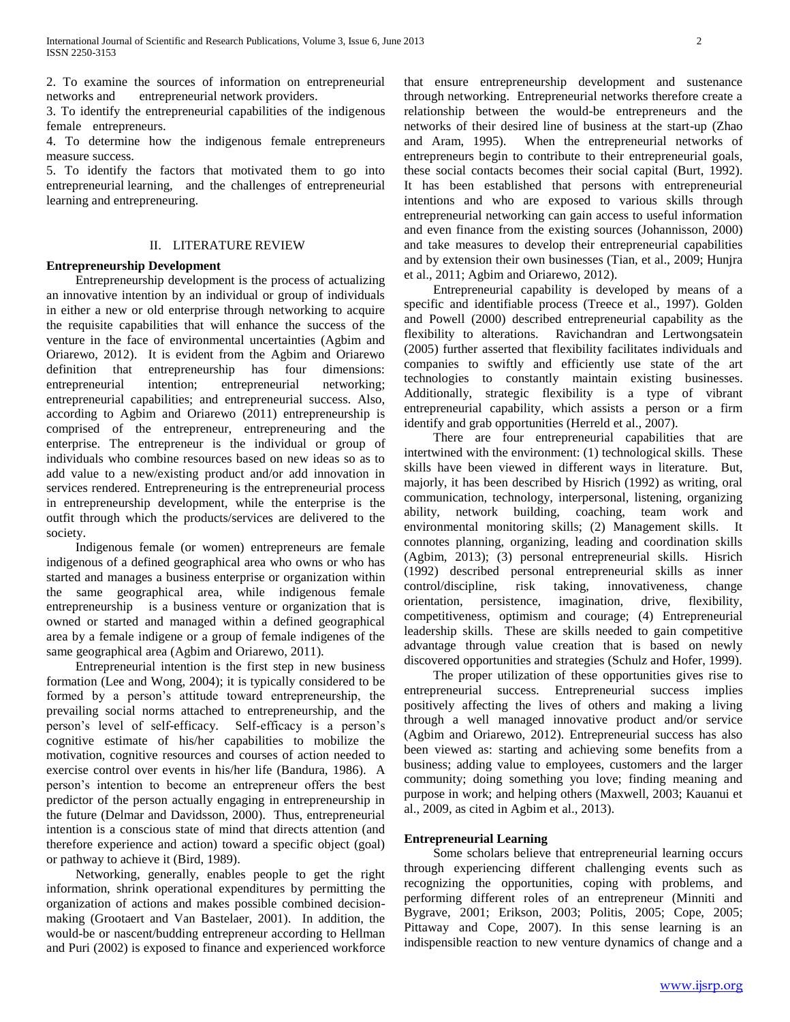2. To examine the sources of information on entrepreneurial networks and entrepreneurial network providers.

3. To identify the entrepreneurial capabilities of the indigenous female entrepreneurs.

4. To determine how the indigenous female entrepreneurs measure success.

5. To identify the factors that motivated them to go into entrepreneurial learning, and the challenges of entrepreneurial learning and entrepreneuring.

## II. LITERATURE REVIEW

## **Entrepreneurship Development**

 Entrepreneurship development is the process of actualizing an innovative intention by an individual or group of individuals in either a new or old enterprise through networking to acquire the requisite capabilities that will enhance the success of the venture in the face of environmental uncertainties (Agbim and Oriarewo, 2012). It is evident from the Agbim and Oriarewo definition that entrepreneurship has four dimensions: entrepreneurial intention; entrepreneurial networking; entrepreneurial capabilities; and entrepreneurial success. Also, according to Agbim and Oriarewo (2011) entrepreneurship is comprised of the entrepreneur, entrepreneuring and the enterprise. The entrepreneur is the individual or group of individuals who combine resources based on new ideas so as to add value to a new/existing product and/or add innovation in services rendered. Entrepreneuring is the entrepreneurial process in entrepreneurship development, while the enterprise is the outfit through which the products/services are delivered to the society.

 Indigenous female (or women) entrepreneurs are female indigenous of a defined geographical area who owns or who has started and manages a business enterprise or organization within the same geographical area, while indigenous female entrepreneurship is a business venture or organization that is owned or started and managed within a defined geographical area by a female indigene or a group of female indigenes of the same geographical area (Agbim and Oriarewo, 2011).

 Entrepreneurial intention is the first step in new business formation (Lee and Wong, 2004); it is typically considered to be formed by a person's attitude toward entrepreneurship, the prevailing social norms attached to entrepreneurship, and the person's level of self-efficacy. Self-efficacy is a person's cognitive estimate of his/her capabilities to mobilize the motivation, cognitive resources and courses of action needed to exercise control over events in his/her life (Bandura, 1986). A person's intention to become an entrepreneur offers the best predictor of the person actually engaging in entrepreneurship in the future (Delmar and Davidsson, 2000). Thus, entrepreneurial intention is a conscious state of mind that directs attention (and therefore experience and action) toward a specific object (goal) or pathway to achieve it (Bird, 1989).

 Networking, generally, enables people to get the right information, shrink operational expenditures by permitting the organization of actions and makes possible combined decisionmaking (Grootaert and Van Bastelaer, 2001). In addition, the would-be or nascent/budding entrepreneur according to Hellman and Puri (2002) is exposed to finance and experienced workforce

that ensure entrepreneurship development and sustenance through networking. Entrepreneurial networks therefore create a relationship between the would-be entrepreneurs and the networks of their desired line of business at the start-up (Zhao and Aram, 1995). When the entrepreneurial networks of entrepreneurs begin to contribute to their entrepreneurial goals, these social contacts becomes their social capital (Burt, 1992). It has been established that persons with entrepreneurial intentions and who are exposed to various skills through entrepreneurial networking can gain access to useful information and even finance from the existing sources (Johannisson, 2000) and take measures to develop their entrepreneurial capabilities and by extension their own businesses (Tian, et al., 2009; Hunjra et al., 2011; Agbim and Oriarewo, 2012).

 Entrepreneurial capability is developed by means of a specific and identifiable process (Treece et al., 1997). Golden and Powell (2000) described entrepreneurial capability as the flexibility to alterations. Ravichandran and Lertwongsatein (2005) further asserted that flexibility facilitates individuals and companies to swiftly and efficiently use state of the art technologies to constantly maintain existing businesses. Additionally, strategic flexibility is a type of vibrant entrepreneurial capability, which assists a person or a firm identify and grab opportunities (Herreld et al., 2007).

 There are four entrepreneurial capabilities that are intertwined with the environment: (1) technological skills. These skills have been viewed in different ways in literature. But, majorly, it has been described by Hisrich (1992) as writing, oral communication, technology, interpersonal, listening, organizing ability, network building, coaching, team work and environmental monitoring skills; (2) Management skills. It connotes planning, organizing, leading and coordination skills (Agbim, 2013); (3) personal entrepreneurial skills. Hisrich (1992) described personal entrepreneurial skills as inner control/discipline, risk taking, innovativeness, change orientation, persistence, imagination, drive, flexibility, competitiveness, optimism and courage; (4) Entrepreneurial leadership skills. These are skills needed to gain competitive advantage through value creation that is based on newly discovered opportunities and strategies (Schulz and Hofer, 1999).

 The proper utilization of these opportunities gives rise to entrepreneurial success. Entrepreneurial success implies positively affecting the lives of others and making a living through a well managed innovative product and/or service (Agbim and Oriarewo, 2012). Entrepreneurial success has also been viewed as: starting and achieving some benefits from a business; adding value to employees, customers and the larger community; doing something you love; finding meaning and purpose in work; and helping others (Maxwell, 2003; Kauanui et al., 2009, as cited in Agbim et al., 2013).

## **Entrepreneurial Learning**

 Some scholars believe that entrepreneurial learning occurs through experiencing different challenging events such as recognizing the opportunities, coping with problems, and performing different roles of an entrepreneur (Minniti and Bygrave, 2001; Erikson, 2003; Politis, 2005; Cope, 2005; Pittaway and Cope, 2007). In this sense learning is an indispensible reaction to new venture dynamics of change and a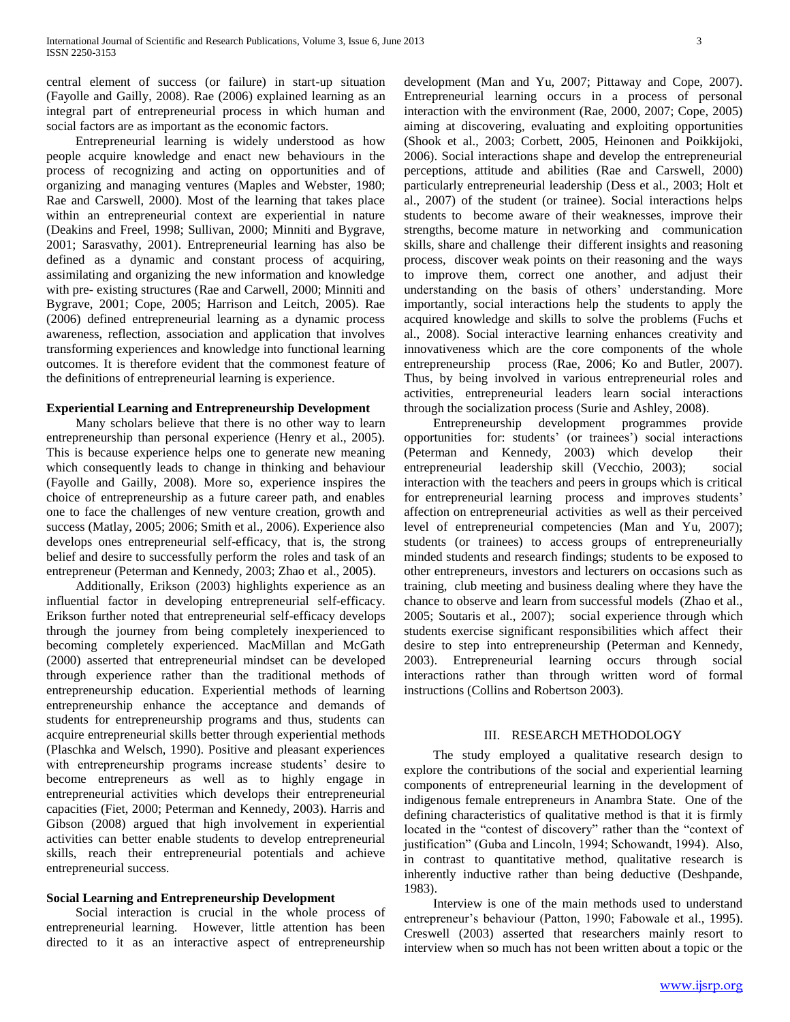central element of success (or failure) in start-up situation (Fayolle and Gailly, 2008). Rae (2006) explained learning as an integral part of entrepreneurial process in which human and social factors are as important as the economic factors.

 Entrepreneurial learning is widely understood as how people acquire knowledge and enact new behaviours in the process of recognizing and acting on opportunities and of organizing and managing ventures (Maples and Webster, 1980; Rae and Carswell, 2000). Most of the learning that takes place within an entrepreneurial context are experiential in nature (Deakins and Freel, 1998; Sullivan, 2000; Minniti and Bygrave, 2001; Sarasvathy, 2001). Entrepreneurial learning has also be defined as a dynamic and constant process of acquiring, assimilating and organizing the new information and knowledge with pre- existing structures (Rae and Carwell, 2000; Minniti and Bygrave, 2001; Cope, 2005; Harrison and Leitch, 2005). Rae (2006) defined entrepreneurial learning as a dynamic process awareness, reflection, association and application that involves transforming experiences and knowledge into functional learning outcomes. It is therefore evident that the commonest feature of the definitions of entrepreneurial learning is experience.

## **Experiential Learning and Entrepreneurship Development**

 Many scholars believe that there is no other way to learn entrepreneurship than personal experience (Henry et al., 2005). This is because experience helps one to generate new meaning which consequently leads to change in thinking and behaviour (Fayolle and Gailly, 2008). More so, experience inspires the choice of entrepreneurship as a future career path, and enables one to face the challenges of new venture creation, growth and success (Matlay, 2005; 2006; Smith et al., 2006). Experience also develops ones entrepreneurial self-efficacy, that is, the strong belief and desire to successfully perform the roles and task of an entrepreneur (Peterman and Kennedy, 2003; Zhao et al., 2005).

 Additionally, Erikson (2003) highlights experience as an influential factor in developing entrepreneurial self-efficacy. Erikson further noted that entrepreneurial self-efficacy develops through the journey from being completely inexperienced to becoming completely experienced. MacMillan and McGath (2000) asserted that entrepreneurial mindset can be developed through experience rather than the traditional methods of entrepreneurship education. Experiential methods of learning entrepreneurship enhance the acceptance and demands of students for entrepreneurship programs and thus, students can acquire entrepreneurial skills better through experiential methods (Plaschka and Welsch, 1990). Positive and pleasant experiences with entrepreneurship programs increase students' desire to become entrepreneurs as well as to highly engage in entrepreneurial activities which develops their entrepreneurial capacities (Fiet, 2000; Peterman and Kennedy, 2003). Harris and Gibson (2008) argued that high involvement in experiential activities can better enable students to develop entrepreneurial skills, reach their entrepreneurial potentials and achieve entrepreneurial success.

## **Social Learning and Entrepreneurship Development**

 Social interaction is crucial in the whole process of entrepreneurial learning. However, little attention has been directed to it as an interactive aspect of entrepreneurship development (Man and Yu, 2007; Pittaway and Cope, 2007). Entrepreneurial learning occurs in a process of personal interaction with the environment (Rae, 2000, 2007; Cope, 2005) aiming at discovering, evaluating and exploiting opportunities (Shook et al., 2003; Corbett, 2005, Heinonen and Poikkijoki, 2006). Social interactions shape and develop the entrepreneurial perceptions, attitude and abilities (Rae and Carswell, 2000) particularly entrepreneurial leadership (Dess et al., 2003; Holt et al., 2007) of the student (or trainee). Social interactions helps students to become aware of their weaknesses, improve their strengths, become mature in networking and communication skills, share and challenge their different insights and reasoning process, discover weak points on their reasoning and the ways to improve them, correct one another, and adjust their understanding on the basis of others' understanding. More importantly, social interactions help the students to apply the acquired knowledge and skills to solve the problems (Fuchs et al., 2008). Social interactive learning enhances creativity and innovativeness which are the core components of the whole entrepreneurship process (Rae, 2006; Ko and Butler, 2007). Thus, by being involved in various entrepreneurial roles and activities, entrepreneurial leaders learn social interactions through the socialization process (Surie and Ashley, 2008).

 Entrepreneurship development programmes provide opportunities for: students' (or trainees') social interactions (Peterman and Kennedy, 2003) which develop their entrepreneurial leadership skill (Vecchio, 2003); social interaction with the teachers and peers in groups which is critical for entrepreneurial learning process and improves students' affection on entrepreneurial activities as well as their perceived level of entrepreneurial competencies (Man and Yu, 2007); students (or trainees) to access groups of entrepreneurially minded students and research findings; students to be exposed to other entrepreneurs, investors and lecturers on occasions such as training, club meeting and business dealing where they have the chance to observe and learn from successful models (Zhao et al., 2005; Soutaris et al., 2007); social experience through which students exercise significant responsibilities which affect their desire to step into entrepreneurship (Peterman and Kennedy, 2003). Entrepreneurial learning occurs through social interactions rather than through written word of formal instructions (Collins and Robertson 2003).

#### III. RESEARCH METHODOLOGY

 The study employed a qualitative research design to explore the contributions of the social and experiential learning components of entrepreneurial learning in the development of indigenous female entrepreneurs in Anambra State. One of the defining characteristics of qualitative method is that it is firmly located in the "contest of discovery" rather than the "context of justification" (Guba and Lincoln, 1994; Schowandt, 1994). Also, in contrast to quantitative method, qualitative research is inherently inductive rather than being deductive (Deshpande, 1983).

 Interview is one of the main methods used to understand entrepreneur's behaviour (Patton, 1990; Fabowale et al., 1995). Creswell (2003) asserted that researchers mainly resort to interview when so much has not been written about a topic or the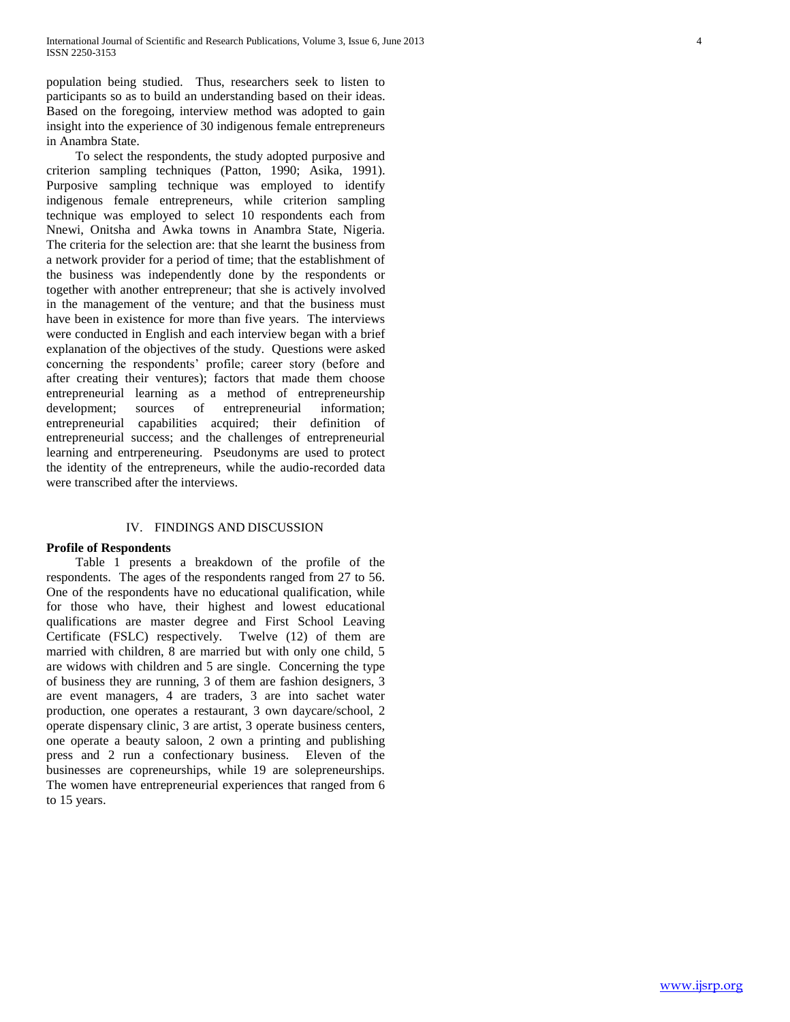population being studied. Thus, researchers seek to listen to participants so as to build an understanding based on their ideas. Based on the foregoing, interview method was adopted to gain insight into the experience of 30 indigenous female entrepreneurs in Anambra State.

 To select the respondents, the study adopted purposive and criterion sampling techniques (Patton, 1990; Asika, 1991). Purposive sampling technique was employed to identify indigenous female entrepreneurs, while criterion sampling technique was employed to select 10 respondents each from Nnewi, Onitsha and Awka towns in Anambra State, Nigeria. The criteria for the selection are: that she learnt the business from a network provider for a period of time; that the establishment of the business was independently done by the respondents or together with another entrepreneur; that she is actively involved in the management of the venture; and that the business must have been in existence for more than five years. The interviews were conducted in English and each interview began with a brief explanation of the objectives of the study. Questions were asked concerning the respondents' profile; career story (before and after creating their ventures); factors that made them choose entrepreneurial learning as a method of entrepreneurship development; sources of entrepreneurial information; entrepreneurial capabilities acquired; their definition of entrepreneurial success; and the challenges of entrepreneurial learning and entrpereneuring. Pseudonyms are used to protect the identity of the entrepreneurs, while the audio-recorded data were transcribed after the interviews.

#### IV. FINDINGS AND DISCUSSION

#### **Profile of Respondents**

 Table 1 presents a breakdown of the profile of the respondents. The ages of the respondents ranged from 27 to 56. One of the respondents have no educational qualification, while for those who have, their highest and lowest educational qualifications are master degree and First School Leaving Certificate (FSLC) respectively. Twelve (12) of them are married with children, 8 are married but with only one child, 5 are widows with children and 5 are single. Concerning the type of business they are running, 3 of them are fashion designers, 3 are event managers, 4 are traders, 3 are into sachet water production, one operates a restaurant, 3 own daycare/school, 2 operate dispensary clinic, 3 are artist, 3 operate business centers, one operate a beauty saloon, 2 own a printing and publishing press and 2 run a confectionary business. Eleven of the businesses are copreneurships, while 19 are solepreneurships. The women have entrepreneurial experiences that ranged from 6 to 15 years.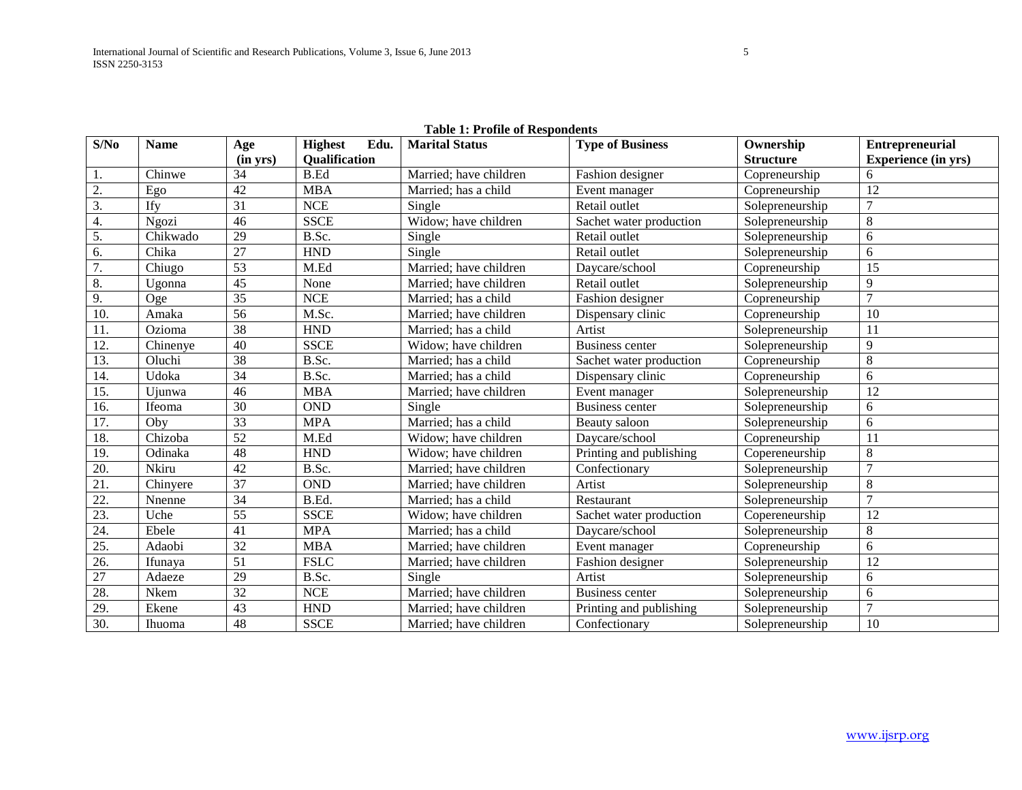| S/No             | <b>Name</b> | Age                      | <b>Highest</b><br>Edu. | <b>Marital Status</b>  | <b>Type of Business</b> | Ownership        | <b>Entrepreneurial</b>     |
|------------------|-------------|--------------------------|------------------------|------------------------|-------------------------|------------------|----------------------------|
|                  |             | $(in \nightharpoondown)$ | <b>Oualification</b>   |                        |                         | <b>Structure</b> | <b>Experience</b> (in yrs) |
| 1.               | Chinwe      | 34                       | B.Ed                   | Married; have children | Fashion designer        | Copreneurship    | 6                          |
| 2.               | Ego         | 42                       | <b>MBA</b>             | Married; has a child   | Event manager           | Copreneurship    | 12                         |
| 3.               | Ify         | 31                       | <b>NCE</b>             | Single                 | Retail outlet           | Solepreneurship  | $\overline{7}$             |
| 4.               | Ngozi       | 46                       | <b>SSCE</b>            | Widow; have children   | Sachet water production | Solepreneurship  | 8                          |
| $\overline{5}$ . | Chikwado    | 29                       | B.Sc.                  | Single                 | Retail outlet           | Solepreneurship  | 6                          |
| 6.               | Chika       | $\overline{27}$          | <b>HND</b>             | Single                 | Retail outlet           | Solepreneurship  | 6                          |
| 7.               | Chiugo      | 53                       | M.Ed                   | Married; have children | Daycare/school          | Copreneurship    | 15                         |
| 8.               | Ugonna      | 45                       | None                   | Married; have children | Retail outlet           | Solepreneurship  | 9                          |
| 9.               | Oge         | $\overline{35}$          | <b>NCE</b>             | Married; has a child   | Fashion designer        | Copreneurship    | $\overline{7}$             |
| 10.              | Amaka       | 56                       | M.Sc.                  | Married; have children | Dispensary clinic       | Copreneurship    | 10                         |
| 11.              | Ozioma      | 38                       | <b>HND</b>             | Married; has a child   | Artist                  | Solepreneurship  | 11                         |
| 12.              | Chinenye    | 40                       | <b>SSCE</b>            | Widow; have children   | <b>Business center</b>  | Solepreneurship  | 9                          |
| 13.              | Oluchi      | 38                       | B.Sc.                  | Married; has a child   | Sachet water production | Copreneurship    | $8\,$                      |
| 14.              | Udoka       | 34                       | B.Sc.                  | Married; has a child   | Dispensary clinic       | Copreneurship    | 6                          |
| 15.              | Ujunwa      | 46                       | <b>MBA</b>             | Married; have children | Event manager           | Solepreneurship  | 12                         |
| 16.              | Ifeoma      | 30                       | <b>OND</b>             | Single                 | <b>Business center</b>  | Solepreneurship  | 6                          |
| 17.              | Oby         | $\overline{33}$          | <b>MPA</b>             | Married; has a child   | Beauty saloon           | Solepreneurship  | 6                          |
| 18.              | Chizoba     | 52                       | M.Ed                   | Widow; have children   | Daycare/school          | Copreneurship    | 11                         |
| 19.              | Odinaka     | 48                       | <b>HND</b>             | Widow; have children   | Printing and publishing | Copereneurship   | $\,8\,$                    |
| 20.              | Nkiru       | 42                       | B.Sc.                  | Married; have children | Confectionary           | Solepreneurship  | 7                          |
| 21.              | Chinyere    | $\overline{37}$          | <b>OND</b>             | Married; have children | Artist                  | Solepreneurship  | $\,8\,$                    |
| 22.              | Nnenne      | $\overline{34}$          | B.Ed.                  | Married; has a child   | Restaurant              | Solepreneurship  | $\overline{7}$             |
| 23.              | Uche        | 55                       | <b>SSCE</b>            | Widow; have children   | Sachet water production | Copereneurship   | 12                         |
| 24.              | Ebele       | 41                       | <b>MPA</b>             | Married; has a child   | Daycare/school          | Solepreneurship  | 8                          |
| 25.              | Adaobi      | 32                       | <b>MBA</b>             | Married; have children | Event manager           | Copreneurship    | 6                          |
| 26.              | Ifunaya     | $\overline{51}$          | <b>FSLC</b>            | Married; have children | Fashion designer        | Solepreneurship  | 12                         |
| 27               | Adaeze      | 29                       | B.Sc.                  | Single                 | Artist                  | Solepreneurship  | 6                          |
| 28.              | Nkem        | 32                       | <b>NCE</b>             | Married; have children | <b>Business center</b>  | Solepreneurship  | 6                          |
| 29.              | Ekene       | $\overline{43}$          | <b>HND</b>             | Married; have children | Printing and publishing | Solepreneurship  | $\tau$                     |
| 30.              | Ihuoma      | 48                       | <b>SSCE</b>            | Married; have children | Confectionary           | Solepreneurship  | 10                         |

# **Table 1: Profile of Respondents**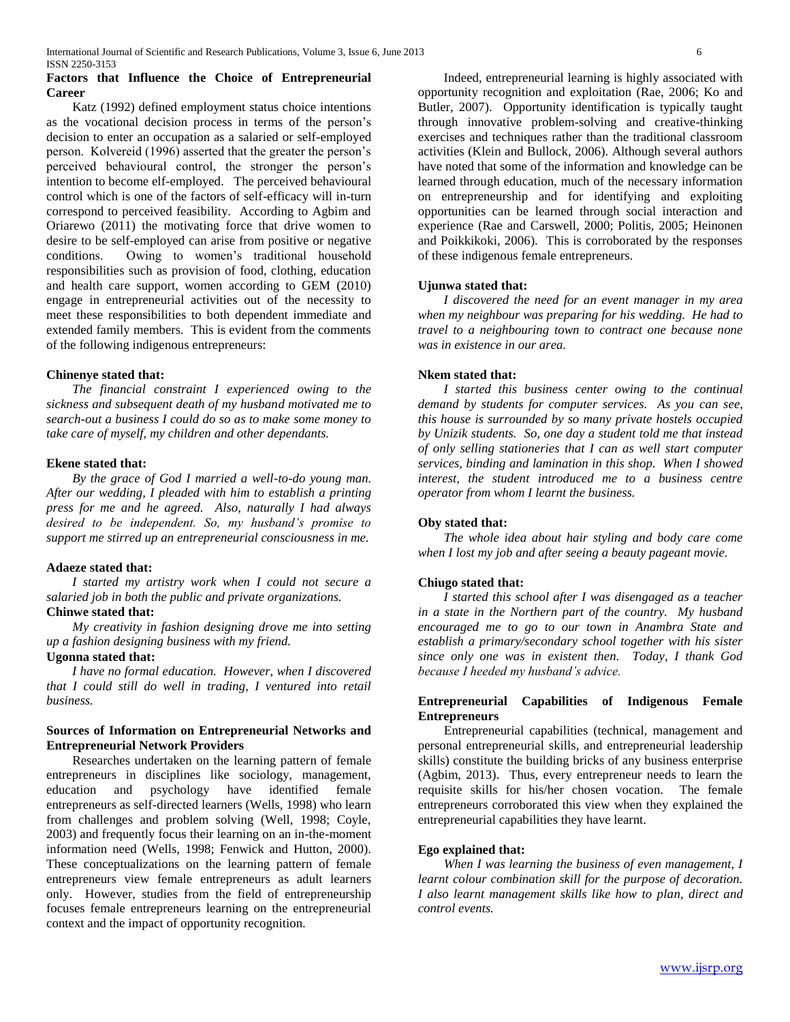## **Factors that Influence the Choice of Entrepreneurial Career**

 Katz (1992) defined employment status choice intentions as the vocational decision process in terms of the person's decision to enter an occupation as a salaried or self-employed person. Kolvereid (1996) asserted that the greater the person's perceived behavioural control, the stronger the person's intention to become elf-employed.The perceived behavioural control which is one of the factors of self-efficacy will in-turn correspond to perceived feasibility. According to Agbim and Oriarewo (2011) the motivating force that drive women to desire to be self-employed can arise from positive or negative conditions. Owing to women's traditional household responsibilities such as provision of food, clothing, education and health care support, women according to GEM (2010) engage in entrepreneurial activities out of the necessity to meet these responsibilities to both dependent immediate and extended family members. This is evident from the comments of the following indigenous entrepreneurs:

## **Chinenye stated that:**

 *The financial constraint I experienced owing to the sickness and subsequent death of my husband motivated me to search-out a business I could do so as to make some money to take care of myself, my children and other dependants.*

## **Ekene stated that:**

 *By the grace of God I married a well-to-do young man. After our wedding, I pleaded with him to establish a printing press for me and he agreed. Also, naturally I had always desired to be independent. So, my husband's promise to support me stirred up an entrepreneurial consciousness in me.*

## **Adaeze stated that:**

 *I started my artistry work when I could not secure a salaried job in both the public and private organizations.*

## **Chinwe stated that:**

 *My creativity in fashion designing drove me into setting up a fashion designing business with my friend.*

#### **Ugonna stated that:**

 *I have no formal education. However, when I discovered that I could still do well in trading, I ventured into retail business.*

## **Sources of Information on Entrepreneurial Networks and Entrepreneurial Network Providers**

 Researches undertaken on the learning pattern of female entrepreneurs in disciplines like sociology, management, education and psychology have identified female entrepreneurs as self-directed learners (Wells, 1998) who learn from challenges and problem solving (Well, 1998; Coyle, 2003) and frequently focus their learning on an in-the-moment information need (Wells, 1998; Fenwick and Hutton, 2000). These conceptualizations on the learning pattern of female entrepreneurs view female entrepreneurs as adult learners only. However, studies from the field of entrepreneurship focuses female entrepreneurs learning on the entrepreneurial context and the impact of opportunity recognition.

 Indeed, entrepreneurial learning is highly associated with opportunity recognition and exploitation (Rae, 2006; Ko and Butler, 2007). Opportunity identification is typically taught through innovative problem-solving and creative-thinking exercises and techniques rather than the traditional classroom activities (Klein and Bullock, 2006). Although several authors have noted that some of the information and knowledge can be learned through education, much of the necessary information on entrepreneurship and for identifying and exploiting opportunities can be learned through social interaction and experience (Rae and Carswell, 2000; Politis, 2005; Heinonen and Poikkikoki, 2006). This is corroborated by the responses of these indigenous female entrepreneurs.

#### **Ujunwa stated that:**

 *I discovered the need for an event manager in my area when my neighbour was preparing for his wedding. He had to travel to a neighbouring town to contract one because none was in existence in our area.* 

## **Nkem stated that:**

 *I started this business center owing to the continual demand by students for computer services. As you can see, this house is surrounded by so many private hostels occupied by Unizik students. So, one day a student told me that instead of only selling stationeries that I can as well start computer services, binding and lamination in this shop. When I showed interest, the student introduced me to a business centre operator from whom I learnt the business.*

## **Oby stated that:**

 *The whole idea about hair styling and body care come when I lost my job and after seeing a beauty pageant movie.*

## **Chiugo stated that:**

 *I started this school after I was disengaged as a teacher in a state in the Northern part of the country. My husband encouraged me to go to our town in Anambra State and establish a primary/secondary school together with his sister since only one was in existent then. Today, I thank God because I heeded my husband's advice.*

## **Entrepreneurial Capabilities of Indigenous Female Entrepreneurs**

 Entrepreneurial capabilities (technical, management and personal entrepreneurial skills, and entrepreneurial leadership skills) constitute the building bricks of any business enterprise (Agbim, 2013). Thus, every entrepreneur needs to learn the requisite skills for his/her chosen vocation. The female entrepreneurs corroborated this view when they explained the entrepreneurial capabilities they have learnt.

## **Ego explained that:**

 *When I was learning the business of even management, I learnt colour combination skill for the purpose of decoration. I also learnt management skills like how to plan, direct and control events.*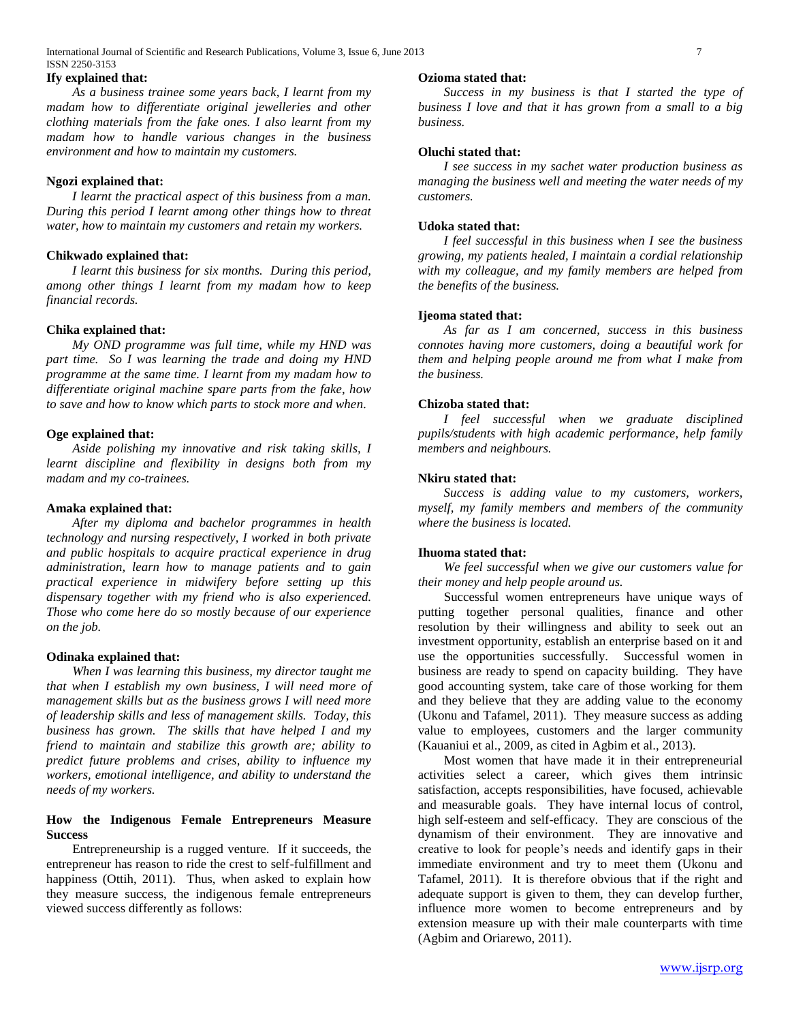#### **Ify explained that:**

 *As a business trainee some years back, I learnt from my madam how to differentiate original jewelleries and other clothing materials from the fake ones. I also learnt from my madam how to handle various changes in the business environment and how to maintain my customers.*

#### **Ngozi explained that:**

 *I learnt the practical aspect of this business from a man. During this period I learnt among other things how to threat water, how to maintain my customers and retain my workers.*

#### **Chikwado explained that:**

 *I learnt this business for six months. During this period, among other things I learnt from my madam how to keep financial records.*

#### **Chika explained that:**

 *My OND programme was full time, while my HND was part time. So I was learning the trade and doing my HND programme at the same time. I learnt from my madam how to differentiate original machine spare parts from the fake, how to save and how to know which parts to stock more and when.*

#### **Oge explained that:**

 *Aside polishing my innovative and risk taking skills, I learnt discipline and flexibility in designs both from my madam and my co-trainees.*

#### **Amaka explained that:**

 *After my diploma and bachelor programmes in health technology and nursing respectively, I worked in both private and public hospitals to acquire practical experience in drug administration, learn how to manage patients and to gain practical experience in midwifery before setting up this dispensary together with my friend who is also experienced. Those who come here do so mostly because of our experience on the job.*

#### **Odinaka explained that:**

 *When I was learning this business, my director taught me that when I establish my own business, I will need more of management skills but as the business grows I will need more of leadership skills and less of management skills. Today, this business has grown. The skills that have helped I and my friend to maintain and stabilize this growth are; ability to predict future problems and crises, ability to influence my workers, emotional intelligence, and ability to understand the needs of my workers.* 

## **How the Indigenous Female Entrepreneurs Measure Success**

 Entrepreneurship is a rugged venture. If it succeeds, the entrepreneur has reason to ride the crest to self-fulfillment and happiness (Ottih, 2011). Thus, when asked to explain how they measure success, the indigenous female entrepreneurs viewed success differently as follows:

#### **Ozioma stated that:**

 *Success in my business is that I started the type of business I love and that it has grown from a small to a big business.*

# **Oluchi stated that:**

 *I see success in my sachet water production business as managing the business well and meeting the water needs of my customers.*

## **Udoka stated that:**

 *I feel successful in this business when I see the business growing, my patients healed, I maintain a cordial relationship with my colleague, and my family members are helped from the benefits of the business.* 

#### **Ijeoma stated that:**

 *As far as I am concerned, success in this business connotes having more customers, doing a beautiful work for them and helping people around me from what I make from the business.*

## **Chizoba stated that:**

 *I feel successful when we graduate disciplined pupils/students with high academic performance, help family members and neighbours.*

#### **Nkiru stated that:**

 *Success is adding value to my customers, workers, myself, my family members and members of the community where the business is located.*

## **Ihuoma stated that:**

 *We feel successful when we give our customers value for their money and help people around us.*

 Successful women entrepreneurs have unique ways of putting together personal qualities, finance and other resolution by their willingness and ability to seek out an investment opportunity, establish an enterprise based on it and use the opportunities successfully. Successful women in business are ready to spend on capacity building. They have good accounting system, take care of those working for them and they believe that they are adding value to the economy (Ukonu and Tafamel, 2011). They measure success as adding value to employees, customers and the larger community (Kauaniui et al., 2009, as cited in Agbim et al., 2013).

 Most women that have made it in their entrepreneurial activities select a career, which gives them intrinsic satisfaction, accepts responsibilities, have focused, achievable and measurable goals. They have internal locus of control, high self-esteem and self-efficacy. They are conscious of the dynamism of their environment. They are innovative and creative to look for people's needs and identify gaps in their immediate environment and try to meet them (Ukonu and Tafamel, 2011). It is therefore obvious that if the right and adequate support is given to them, they can develop further, influence more women to become entrepreneurs and by extension measure up with their male counterparts with time (Agbim and Oriarewo, 2011).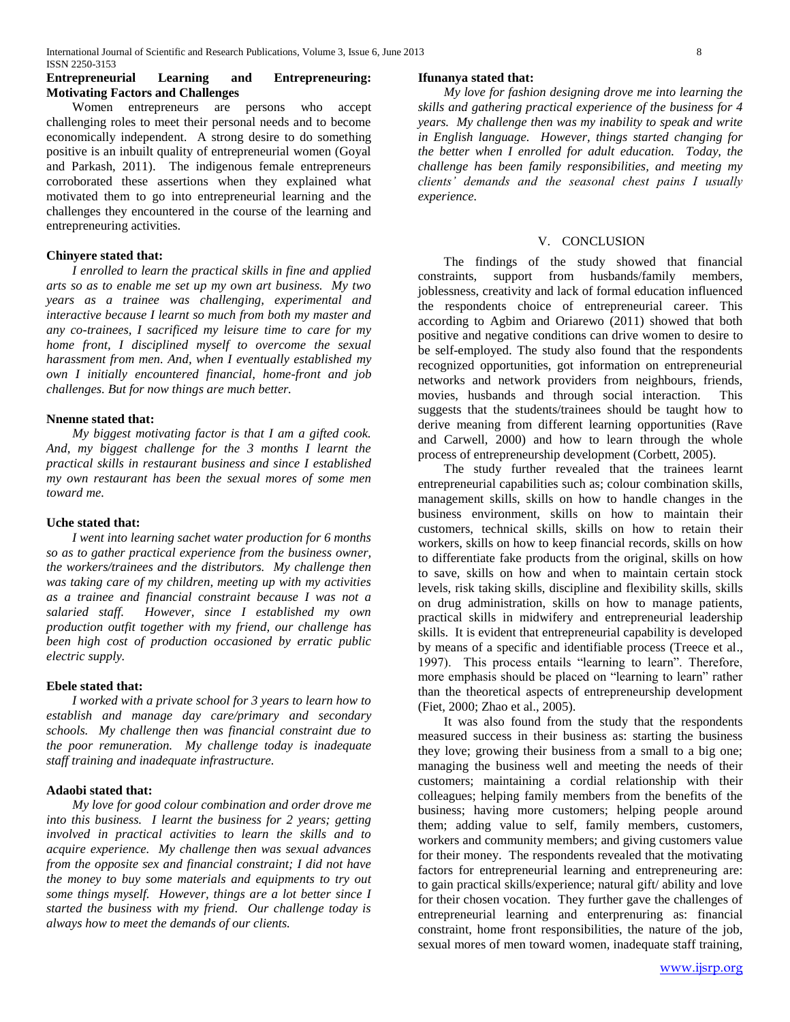## **Entrepreneurial Learning and Entrepreneuring: Motivating Factors and Challenges**

 Women entrepreneurs are persons who accept challenging roles to meet their personal needs and to become economically independent. A strong desire to do something positive is an inbuilt quality of entrepreneurial women (Goyal and Parkash, 2011). The indigenous female entrepreneurs corroborated these assertions when they explained what motivated them to go into entrepreneurial learning and the challenges they encountered in the course of the learning and entrepreneuring activities.

## **Chinyere stated that:**

 *I enrolled to learn the practical skills in fine and applied arts so as to enable me set up my own art business. My two years as a trainee was challenging, experimental and interactive because I learnt so much from both my master and any co-trainees, I sacrificed my leisure time to care for my home front, I disciplined myself to overcome the sexual harassment from men. And, when I eventually established my own I initially encountered financial, home-front and job challenges. But for now things are much better.*

## **Nnenne stated that:**

 *My biggest motivating factor is that I am a gifted cook. And, my biggest challenge for the 3 months I learnt the practical skills in restaurant business and since I established my own restaurant has been the sexual mores of some men toward me.*

#### **Uche stated that:**

 *I went into learning sachet water production for 6 months so as to gather practical experience from the business owner, the workers/trainees and the distributors. My challenge then was taking care of my children, meeting up with my activities as a trainee and financial constraint because I was not a salaried staff. However, since I established my own production outfit together with my friend, our challenge has been high cost of production occasioned by erratic public electric supply.*

#### **Ebele stated that:**

 *I worked with a private school for 3 years to learn how to establish and manage day care/primary and secondary schools. My challenge then was financial constraint due to the poor remuneration. My challenge today is inadequate staff training and inadequate infrastructure.*

#### **Adaobi stated that:**

 *My love for good colour combination and order drove me into this business. I learnt the business for 2 years; getting involved in practical activities to learn the skills and to acquire experience. My challenge then was sexual advances from the opposite sex and financial constraint; I did not have the money to buy some materials and equipments to try out some things myself. However, things are a lot better since I started the business with my friend. Our challenge today is always how to meet the demands of our clients.*

#### **Ifunanya stated that:**

 *My love for fashion designing drove me into learning the skills and gathering practical experience of the business for 4 years. My challenge then was my inability to speak and write in English language. However, things started changing for the better when I enrolled for adult education. Today, the challenge has been family responsibilities, and meeting my clients' demands and the seasonal chest pains I usually experience.*

## V. CONCLUSION

 The findings of the study showed that financial constraints, support from husbands/family members, joblessness, creativity and lack of formal education influenced the respondents choice of entrepreneurial career. This according to Agbim and Oriarewo (2011) showed that both positive and negative conditions can drive women to desire to be self-employed. The study also found that the respondents recognized opportunities, got information on entrepreneurial networks and network providers from neighbours, friends, movies, husbands and through social interaction. This suggests that the students/trainees should be taught how to derive meaning from different learning opportunities (Rave and Carwell, 2000) and how to learn through the whole process of entrepreneurship development (Corbett, 2005).

 The study further revealed that the trainees learnt entrepreneurial capabilities such as; colour combination skills, management skills, skills on how to handle changes in the business environment, skills on how to maintain their customers, technical skills, skills on how to retain their workers, skills on how to keep financial records, skills on how to differentiate fake products from the original, skills on how to save, skills on how and when to maintain certain stock levels, risk taking skills, discipline and flexibility skills, skills on drug administration, skills on how to manage patients, practical skills in midwifery and entrepreneurial leadership skills. It is evident that entrepreneurial capability is developed by means of a specific and identifiable process (Treece et al., 1997). This process entails "learning to learn". Therefore, more emphasis should be placed on "learning to learn" rather than the theoretical aspects of entrepreneurship development (Fiet, 2000; Zhao et al., 2005).

 It was also found from the study that the respondents measured success in their business as: starting the business they love; growing their business from a small to a big one; managing the business well and meeting the needs of their customers; maintaining a cordial relationship with their colleagues; helping family members from the benefits of the business; having more customers; helping people around them; adding value to self, family members, customers, workers and community members; and giving customers value for their money. The respondents revealed that the motivating factors for entrepreneurial learning and entrepreneuring are: to gain practical skills/experience; natural gift/ ability and love for their chosen vocation. They further gave the challenges of entrepreneurial learning and enterprenuring as: financial constraint, home front responsibilities, the nature of the job, sexual mores of men toward women, inadequate staff training,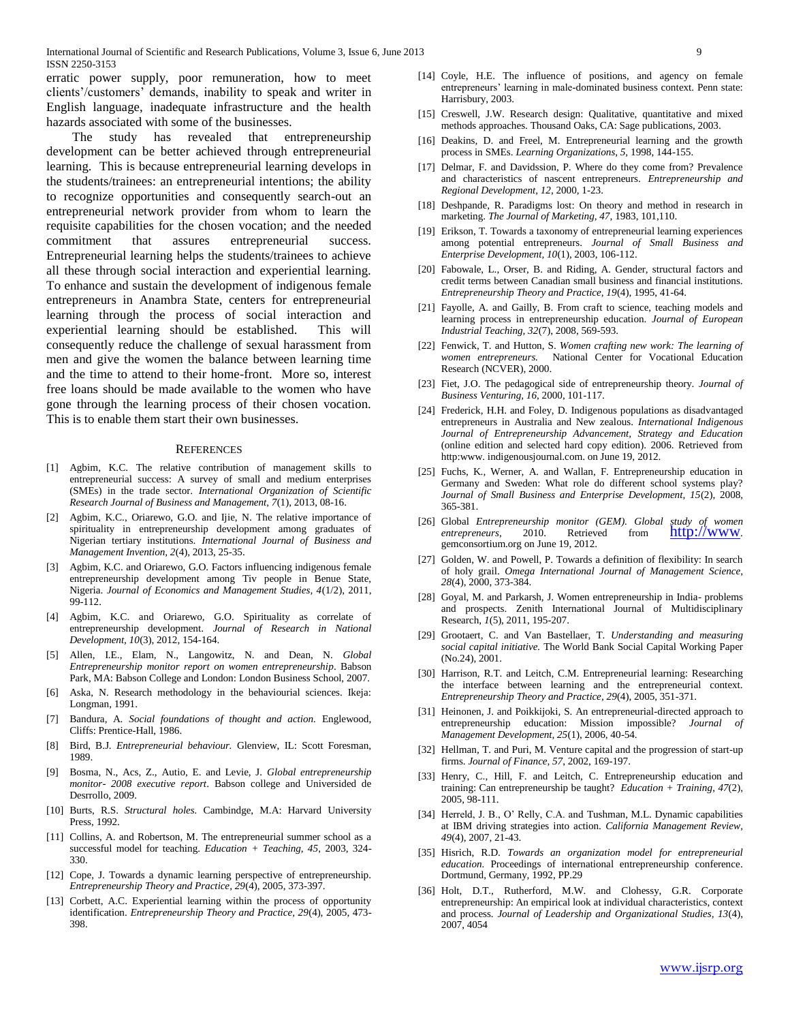International Journal of Scientific and Research Publications, Volume 3, Issue 6, June 2013 9 ISSN 2250-3153

erratic power supply, poor remuneration, how to meet clients'/customers' demands, inability to speak and writer in English language, inadequate infrastructure and the health hazards associated with some of the businesses.

 The study has revealed that entrepreneurship development can be better achieved through entrepreneurial learning. This is because entrepreneurial learning develops in the students/trainees: an entrepreneurial intentions; the ability to recognize opportunities and consequently search-out an entrepreneurial network provider from whom to learn the requisite capabilities for the chosen vocation; and the needed commitment that assures entrepreneurial success. Entrepreneurial learning helps the students/trainees to achieve all these through social interaction and experiential learning. To enhance and sustain the development of indigenous female entrepreneurs in Anambra State, centers for entrepreneurial learning through the process of social interaction and experiential learning should be established. This will consequently reduce the challenge of sexual harassment from men and give the women the balance between learning time and the time to attend to their home-front. More so, interest free loans should be made available to the women who have gone through the learning process of their chosen vocation. This is to enable them start their own businesses.

#### **REFERENCES**

- [1] Agbim, K.C. The relative contribution of management skills to entrepreneurial success: A survey of small and medium enterprises (SMEs) in the trade sector. *International Organization of Scientific Research Journal of Business and Management, 7*(1), 2013, 08-16.
- [2] Agbim, K.C., Oriarewo, G.O. and Ijie, N. The relative importance of spirituality in entrepreneurship development among graduates of Nigerian tertiary institutions. *International Journal of Business and Management Invention, 2*(4), 2013, 25-35.
- [3] Agbim, K.C. and Oriarewo, G.O. Factors influencing indigenous female entrepreneurship development among Tiv people in Benue State, Nigeria. *Journal of Economics and Management Studies, 4*(1/2), 2011, 99-112.
- [4] Agbim, K.C. and Oriarewo, G.O. Spirituality as correlate of entrepreneurship development. *Journal of Research in National Development, 10*(3), 2012, 154-164.
- [5] Allen, I.E., Elam, N., Langowitz, N. and Dean, N. *Global Entrepreneurship monitor report on women entrepreneurship*. Babson Park, MA: Babson College and London: London Business School, 2007.
- [6] Aska, N. Research methodology in the behaviourial sciences. Ikeja: Longman, 1991.
- [7] Bandura, A. *Social foundations of thought and action.* Englewood, Cliffs: Prentice-Hall, 1986.
- [8] Bird, B.J. *Entrepreneurial behaviour.* Glenview, IL: Scott Foresman, 1989.
- [9] Bosma, N., Acs, Z., Autio, E. and Levie, J. *Global entrepreneurship monitor- 2008 executive report*. Babson college and Universided de Desrrollo, 2009.
- [10] Burts, R.S. *Structural holes.* Cambindge, M.A: Harvard University Press, 1992.
- [11] Collins, A. and Robertson, M. The entrepreneurial summer school as a successful model for teaching. *Education + Teaching, 45*, 2003, 324- 330.
- [12] Cope, J. Towards a dynamic learning perspective of entrepreneurship. *Entrepreneurship Theory and Practice, 29*(4), 2005, 373-397.
- [13] Corbett, A.C. Experiential learning within the process of opportunity identification. *Entrepreneurship Theory and Practice, 29*(4), 2005, 473- 398.
- [14] Coyle, H.E. The influence of positions, and agency on female entrepreneurs' learning in male-dominated business context. Penn state: Harrisbury, 2003.
- [15] Creswell, J.W. Research design: Qualitative, quantitative and mixed methods approaches. Thousand Oaks, CA: Sage publications, 2003.
- [16] Deakins, D. and Freel, M. Entrepreneurial learning and the growth process in SMEs. *Learning Organizations, 5,* 1998, 144-155.
- [17] Delmar, F. and Davidssion, P. Where do they come from? Prevalence and characteristics of nascent entrepreneurs. *Entrepreneurship and Regional Development, 12*, 2000, 1-23.
- [18] Deshpande, R. Paradigms lost: On theory and method in research in marketing. *The Journal of Marketing, 47,* 1983, 101,110.
- [19] Erikson, T. Towards a taxonomy of entrepreneurial learning experiences among potential entrepreneurs. *Journal of Small Business and Enterprise Development, 10*(1), 2003, 106-112.
- [20] Fabowale, L., Orser, B. and Riding, A. Gender, structural factors and credit terms between Canadian small business and financial institutions. *Entrepreneurship Theory and Practice, 19*(4), 1995, 41-64.
- [21] Fayolle, A. and Gailly, B. From craft to science, teaching models and learning process in entrepreneurship education. *Journal of European Industrial Teaching, 32*(7), 2008, 569-593.
- [22] Fenwick, T. and Hutton, S. *Women crafting new work: The learning of women entrepreneurs.* National Center for Vocational Education Research (NCVER), 2000.
- [23] Fiet, J.O. The pedagogical side of entrepreneurship theory. *Journal of Business Venturing, 16*, 2000, 101-117.
- [24] Frederick, H.H. and Foley, D. Indigenous populations as disadvantaged entrepreneurs in Australia and New zealous. *International Indigenous Journal of Entrepreneurship Advancement, Strategy and Education* (online edition and selected hard copy edition). 2006. Retrieved from http:www. indigenousjournal.com. on June 19, 2012.
- [25] Fuchs, K., Werner, A. and Wallan, F. Entrepreneurship education in Germany and Sweden: What role do different school systems play? *Journal of Small Business and Enterprise Development, 15*(2), 2008, 365-381.
- [26] Global *Entrepreneurship monitor (GEM)*. Global study of women entrepreneurs, 2010. Retrieved from **[http://www](http://www/)**. gemconsortium.org on June 19, 2012.
- [27] Golden, W. and Powell, P. Towards a definition of flexibility: In search of holy grail. *Omega International Journal of Management Science, 28*(4), 2000, 373-384.
- [28] Goyal, M. and Parkarsh, J. Women entrepreneurship in India- problems and prospects. Zenith International Journal of Multidisciplinary Research, *1*(5), 2011, 195-207.
- [29] Grootaert, C. and Van Bastellaer, T. *Understanding and measuring social capital initiative.* The World Bank Social Capital Working Paper (No.24), 2001.
- [30] Harrison, R.T. and Leitch, C.M. Entrepreneurial learning: Researching the interface between learning and the entrepreneurial context. *Entrepreneurship Theory and Practice, 29*(4), 2005, 351-371.
- [31] Heinonen, J. and Poikkijoki, S. An entrepreneurial-directed approach to entrepreneurship education: Mission impossible? *Journal of Management Development, 25*(1), 2006, 40-54.
- [32] Hellman, T. and Puri, M. Venture capital and the progression of start-up firms. *Journal of Finance, 57*, 2002, 169-197.
- [33] Henry, C., Hill, F. and Leitch, C. Entrepreneurship education and training: Can entrepreneurship be taught? *Education + Training*, *47*(2), 2005, 98-111.
- [34] Herreld, J. B., O' Relly, C.A. and Tushman, M.L. Dynamic capabilities at IBM driving strategies into action. *California Management Review, 49*(4), 2007, 21-43.
- [35] Hisrich, R.D. *Towards an organization model for entrepreneurial education.* Proceedings of international entrepreneurship conference. Dortmund, Germany, 1992, PP.29
- [36] Holt, D.T., Rutherford, M.W. and Clohessy, G.R. Corporate entrepreneurship: An empirical look at individual characteristics, context and process. *Journal of Leadership and Organizational Studies, 13*(4), 2007, 4054